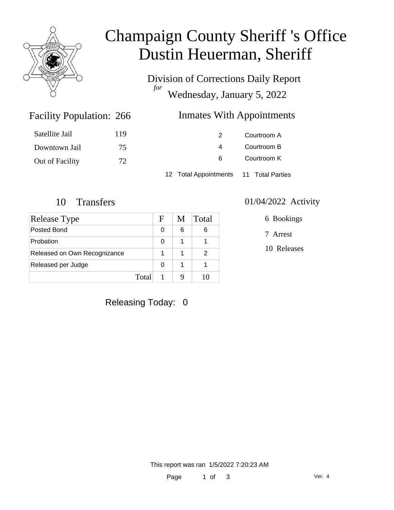

# Champaign County Sheriff 's Office Dustin Heuerman, Sheriff

Division of Corrections Daily Report *for* Wednesday, January 5, 2022

### Inmates With Appointments

| Satellite Jail  | 119 |                                        | Courtroom A |  |
|-----------------|-----|----------------------------------------|-------------|--|
| Downtown Jail   | 75  | 4                                      | Courtroom B |  |
| Out of Facility | 72  | 6                                      | Courtroom K |  |
|                 |     | 12 Total Appointments 11 Total Parties |             |  |

Facility Population: 266

| Release Type                 |       | F | M | Total |
|------------------------------|-------|---|---|-------|
| Posted Bond                  |       | 0 | 6 | 6     |
| Probation                    |       | 0 | 1 |       |
| Released on Own Recognizance |       |   | 1 | 2     |
| Released per Judge           |       | 0 | 1 |       |
|                              | Total |   |   |       |

#### 10 Transfers 01/04/2022 Activity

6 Bookings

7 Arrest

10 Releases

Releasing Today: 0

This report was ran 1/5/2022 7:20:23 AM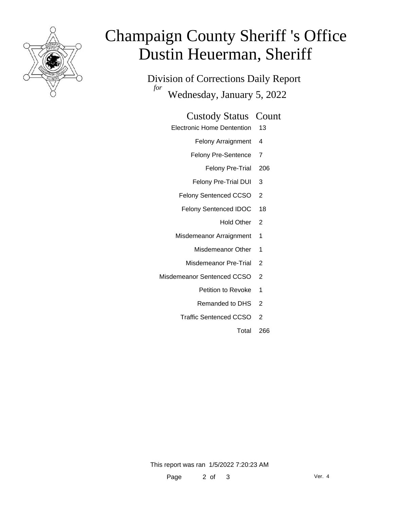

# Champaign County Sheriff 's Office Dustin Heuerman, Sheriff

Division of Corrections Daily Report *for* Wednesday, January 5, 2022

#### Custody Status Count

- Electronic Home Dentention 13
	- Felony Arraignment 4
	- Felony Pre-Sentence 7
		- Felony Pre-Trial 206
	- Felony Pre-Trial DUI 3
	- Felony Sentenced CCSO 2
	- Felony Sentenced IDOC 18
		- Hold Other 2
	- Misdemeanor Arraignment 1
		- Misdemeanor Other 1
		- Misdemeanor Pre-Trial 2
- Misdemeanor Sentenced CCSO 2
	- Petition to Revoke 1
	- Remanded to DHS 2
	- Traffic Sentenced CCSO 2
		- Total 266

This report was ran 1/5/2022 7:20:23 AM